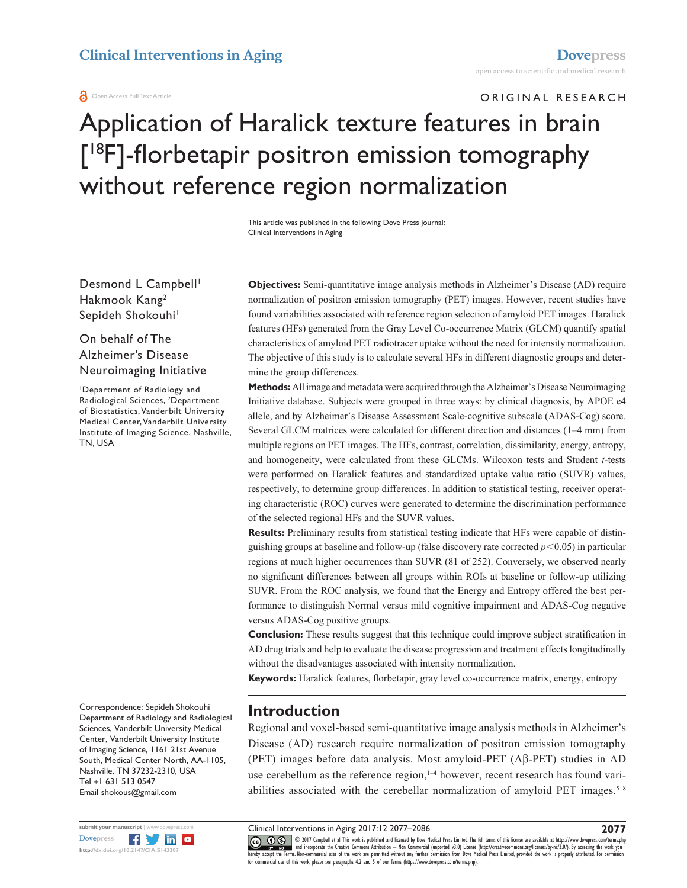#### Open Access Full Text Article

ORIGINAL RESEARCH

# Application of Haralick texture features in brain [<sup>18</sup>F]-florbetapir positron emission tomography without reference region normalization

This article was published in the following Dove Press journal: Clinical Interventions in Aging

Desmond L Campbell<sup>1</sup> Hakmook Kang2 Sepideh Shokouhi<sup>1</sup>

#### On behalf of The Alzheimer's Disease Neuroimaging Initiative

1 Department of Radiology and Radiological Sciences, 2 Department of Biostatistics, Vanderbilt University Medical Center, Vanderbilt University Institute of Imaging Science, Nashville, TN, USA

Correspondence: Sepideh Shokouhi Department of Radiology and Radiological Sciences, Vanderbilt University Medical Center, Vanderbilt University Institute of Imaging Science, 1161 21st Avenue South, Medical Center North, AA-1105, Nashville, TN 37232-2310, USA Tel +1 631 513 0547 Email [shokous@gmail.co](mailto:shokous@gmail.com)m



**Objectives:** Semi-quantitative image analysis methods in Alzheimer's Disease (AD) require normalization of positron emission tomography (PET) images. However, recent studies have found variabilities associated with reference region selection of amyloid PET images. Haralick features (HFs) generated from the Gray Level Co-occurrence Matrix (GLCM) quantify spatial characteristics of amyloid PET radiotracer uptake without the need for intensity normalization. The objective of this study is to calculate several HFs in different diagnostic groups and determine the group differences.

**Methods:** All image and metadata were acquired through the Alzheimer's Disease Neuroimaging Initiative database. Subjects were grouped in three ways: by clinical diagnosis, by APOE e4 allele, and by Alzheimer's Disease Assessment Scale-cognitive subscale (ADAS-Cog) score. Several GLCM matrices were calculated for different direction and distances (1–4 mm) from multiple regions on PET images. The HFs, contrast, correlation, dissimilarity, energy, entropy, and homogeneity, were calculated from these GLCMs. Wilcoxon tests and Student *t*-tests were performed on Haralick features and standardized uptake value ratio (SUVR) values, respectively, to determine group differences. In addition to statistical testing, receiver operating characteristic (ROC) curves were generated to determine the discrimination performance of the selected regional HFs and the SUVR values.

**Results:** Preliminary results from statistical testing indicate that HFs were capable of distinguishing groups at baseline and follow-up (false discovery rate corrected  $p$ <0.05) in particular regions at much higher occurrences than SUVR (81 of 252). Conversely, we observed nearly no significant differences between all groups within ROIs at baseline or follow-up utilizing SUVR. From the ROC analysis, we found that the Energy and Entropy offered the best performance to distinguish Normal versus mild cognitive impairment and ADAS-Cog negative versus ADAS-Cog positive groups.

**Conclusion:** These results suggest that this technique could improve subject stratification in AD drug trials and help to evaluate the disease progression and treatment effects longitudinally without the disadvantages associated with intensity normalization.

**Keywords:** Haralick features, florbetapir, gray level co-occurrence matrix, energy, entropy

## **Introduction**

Regional and voxel-based semi-quantitative image analysis methods in Alzheimer's Disease (AD) research require normalization of positron emission tomography (PET) images before data analysis. Most amyloid-PET (Aβ-PET) studies in AD use cerebellum as the reference region, $1-4$  however, recent research has found variabilities associated with the cerebellar normalization of amyloid PET images. $5-8$ 

Clinical Interventions in Aging 2017:12 2077–2086

CCC 1 © 2017 Campbell et al. This work is published and licensed by Dove Medical Press Limited. The full terms of this license are available at <https://www.dovepress.com/terms.php><br>[hereby accept the Terms](http://www.dovepress.com/permissions.php). Non-commercial us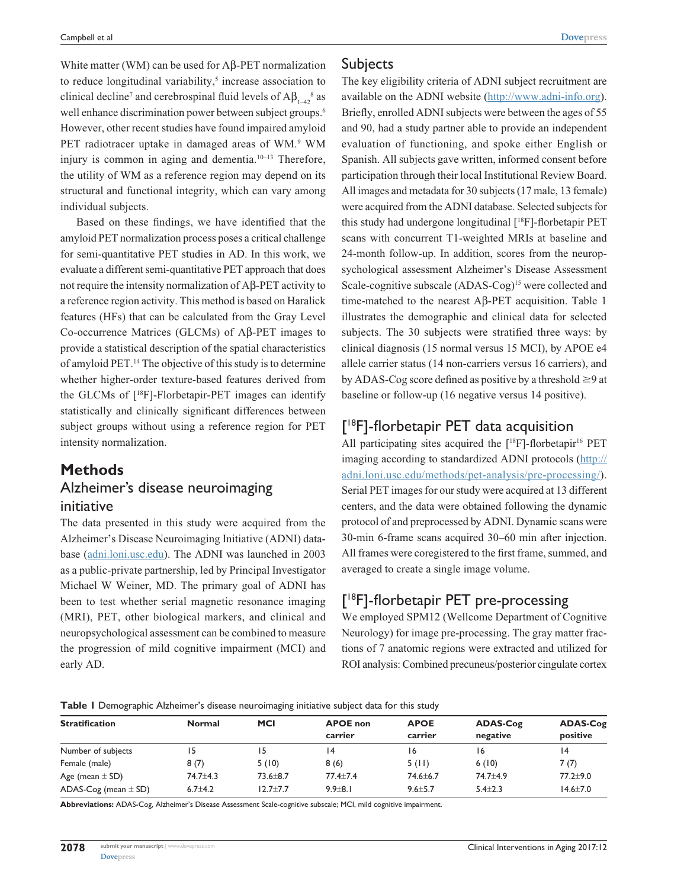White matter (WM) can be used for Aβ-PET normalization to reduce longitudinal variability, $5$  increase association to clinical decline<sup>7</sup> and cerebrospinal fluid levels of  $A\beta_{1\rightarrow2}^8$  as well enhance discrimination power between subject groups.<sup>6</sup> However, other recent studies have found impaired amyloid PET radiotracer uptake in damaged areas of WM.<sup>9</sup> WM injury is common in aging and dementia.<sup>10–13</sup> Therefore, the utility of WM as a reference region may depend on its structural and functional integrity, which can vary among individual subjects.

Based on these findings, we have identified that the amyloid PET normalization process poses a critical challenge for semi-quantitative PET studies in AD. In this work, we evaluate a different semi-quantitative PET approach that does not require the intensity normalization of Aβ-PET activity to a reference region activity. This method is based on Haralick features (HFs) that can be calculated from the Gray Level Co-occurrence Matrices (GLCMs) of Aβ-PET images to provide a statistical description of the spatial characteristics of amyloid PET.14 The objective of this study is to determine whether higher-order texture-based features derived from the GLCMs of [18F]-Florbetapir-PET images can identify statistically and clinically significant differences between subject groups without using a reference region for PET intensity normalization.

## **Methods**

# Alzheimer's disease neuroimaging initiative

The data presented in this study were acquired from the Alzheimer's Disease Neuroimaging Initiative (ADNI) database [\(adni.loni.usc.edu](mailto:adni.loni.usc.edu)). The ADNI was launched in 2003 as a public-private partnership, led by Principal Investigator Michael W Weiner, MD. The primary goal of ADNI has been to test whether serial magnetic resonance imaging (MRI), PET, other biological markers, and clinical and neuropsychological assessment can be combined to measure the progression of mild cognitive impairment (MCI) and early AD.

#### Subjects

The key eligibility criteria of ADNI subject recruitment are available on the ADNI website (<http://www.adni-info.org>). Briefly, enrolled ADNI subjects were between the ages of 55 and 90, had a study partner able to provide an independent evaluation of functioning, and spoke either English or Spanish. All subjects gave written, informed consent before participation through their local Institutional Review Board. All images and metadata for 30 subjects (17 male, 13 female) were acquired from the ADNI database. Selected subjects for this study had undergone longitudinal [18F]-florbetapir PET scans with concurrent T1-weighted MRIs at baseline and 24-month follow-up. In addition, scores from the neuropsychological assessment Alzheimer's Disease Assessment Scale-cognitive subscale (ADAS-Cog)<sup>15</sup> were collected and time-matched to the nearest Aβ-PET acquisition. Table 1 illustrates the demographic and clinical data for selected subjects. The 30 subjects were stratified three ways: by clinical diagnosis (15 normal versus 15 MCI), by APOE e4 allele carrier status (14 non-carriers versus 16 carriers), and by ADAS-Cog score defined as positive by a threshold  $\geq 9$  at baseline or follow-up (16 negative versus 14 positive).

# [18F]-florbetapir PET data acquisition

All participating sites acquired the [<sup>18</sup>F]-florbetapir<sup>16</sup> PET imaging according to standardized ADNI protocols [\(http://](http://adni.loni.usc.edu/methods/pet-analysis/pre-processing/) [adni.loni.usc.edu/methods/pet-analysis/pre-processing/](http://adni.loni.usc.edu/methods/pet-analysis/pre-processing/)). Serial PET images for our study were acquired at 13 different centers, and the data were obtained following the dynamic protocol of and preprocessed by ADNI. Dynamic scans were 30-min 6-frame scans acquired 30–60 min after injection. All frames were coregistered to the first frame, summed, and averaged to create a single image volume.

# [18F]-florbetapir PET pre-processing

We employed SPM12 (Wellcome Department of Cognitive Neurology) for image pre-processing. The gray matter fractions of 7 anatomic regions were extracted and utilized for ROI analysis: Combined precuneus/posterior cingulate cortex

| Table I Demographic Alzheimer's disease neuroimaging initiative subject data for this study |  |  |  |
|---------------------------------------------------------------------------------------------|--|--|--|
|                                                                                             |  |  |  |

| <b>Stratification</b>    | <b>Normal</b> | <b>MCI</b>     | <b>APOE non</b> | <b>APOE</b>  | ADAS-Cog      | <b>ADAS-Cog</b> |
|--------------------------|---------------|----------------|-----------------|--------------|---------------|-----------------|
|                          |               |                | carrier         | carrier      | negative      | positive        |
| Number of subjects       | 15            | 15             |                 | 16           | 16            | 14              |
| Female (male)            | 8(7)          | 5(10)          | 8(6)            | 5(11)        | 6(10)         | 7 (7)           |
| Age (mean $\pm$ SD)      | 74.7±4.3      | $73.6 \pm 8.7$ | $77.4 + 7.4$    | $74.6 + 6.7$ | $74.7 + 4.9$  | $77.2 + 9.0$    |
| ADAS-Cog (mean $\pm$ SD) | $6.7 \pm 4.2$ | $12.7 + 7.7$   | $9.9 \pm 8.1$   | $9.6 + 5.7$  | $5.4 \pm 2.3$ | $14.6 \pm 7.0$  |

**Abbreviations:** ADAS-Cog, Alzheimer's Disease Assessment Scale-cognitive subscale; MCI, mild cognitive impairment.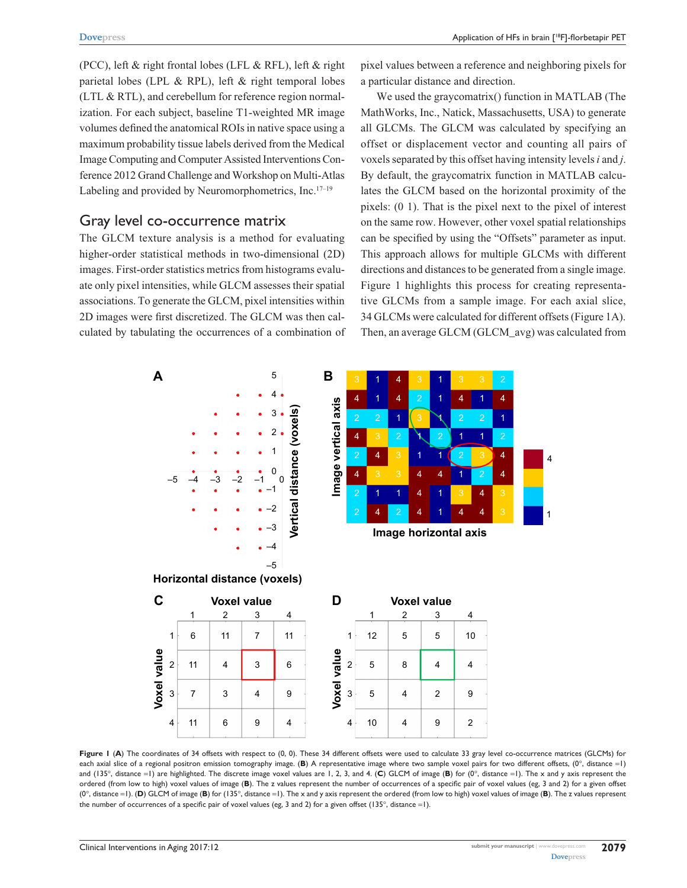(PCC), left & right frontal lobes (LFL & RFL), left & right parietal lobes (LPL & RPL), left & right temporal lobes (LTL & RTL), and cerebellum for reference region normalization. For each subject, baseline T1-weighted MR image volumes defined the anatomical ROIs in native space using a maximum probability tissue labels derived from the Medical Image Computing and Computer Assisted Interventions Conference 2012 Grand Challenge and Workshop on Multi-Atlas Labeling and provided by Neuromorphometrics, Inc.<sup>17-19</sup>

#### Gray level co-occurrence matrix

The GLCM texture analysis is a method for evaluating higher-order statistical methods in two-dimensional (2D) images. First-order statistics metrics from histograms evaluate only pixel intensities, while GLCM assesses their spatial associations. To generate the GLCM, pixel intensities within 2D images were first discretized. The GLCM was then calculated by tabulating the occurrences of a combination of pixel values between a reference and neighboring pixels for a particular distance and direction.

We used the graycomatrix() function in MATLAB (The MathWorks, Inc., Natick, Massachusetts, USA) to generate all GLCMs. The GLCM was calculated by specifying an offset or displacement vector and counting all pairs of voxels separated by this offset having intensity levels *i* and *j*. By default, the graycomatrix function in MATLAB calculates the GLCM based on the horizontal proximity of the pixels: (0 1). That is the pixel next to the pixel of interest on the same row. However, other voxel spatial relationships can be specified by using the "Offsets" parameter as input. This approach allows for multiple GLCMs with different directions and distances to be generated from a single image. Figure 1 highlights this process for creating representative GLCMs from a sample image. For each axial slice, 34 GLCMs were calculated for different offsets (Figure 1A). Then, an average GLCM (GLCM\_avg) was calculated from



Figure I (A) The coordinates of 34 offsets with respect to (0, 0). These 34 different offsets were used to calculate 33 gray level co-occurrence matrices (GLCMs) for each axial slice of a regional positron emission tomography image. (B) A representative image where two sample voxel pairs for two different offsets, (0°, distance =1) and (135°, distance =1) are highlighted. The discrete image voxel values are 1, 2, 3, and 4. (**C**) GLCM of image (**B**) for (0°, distance =1). The x and y axis represent the ordered (from low to high) voxel values of image (**B**). The z values represent the number of occurrences of a specific pair of voxel values (eg, 3 and 2) for a given offset (0°, distance =1). (**D**) GLCM of image (**B**) for (135°, distance =1). The x and y axis represent the ordered (from low to high) voxel values of image (**B**). The z values represent the number of occurrences of a specific pair of voxel values (eg, 3 and 2) for a given offset (135°, distance =1).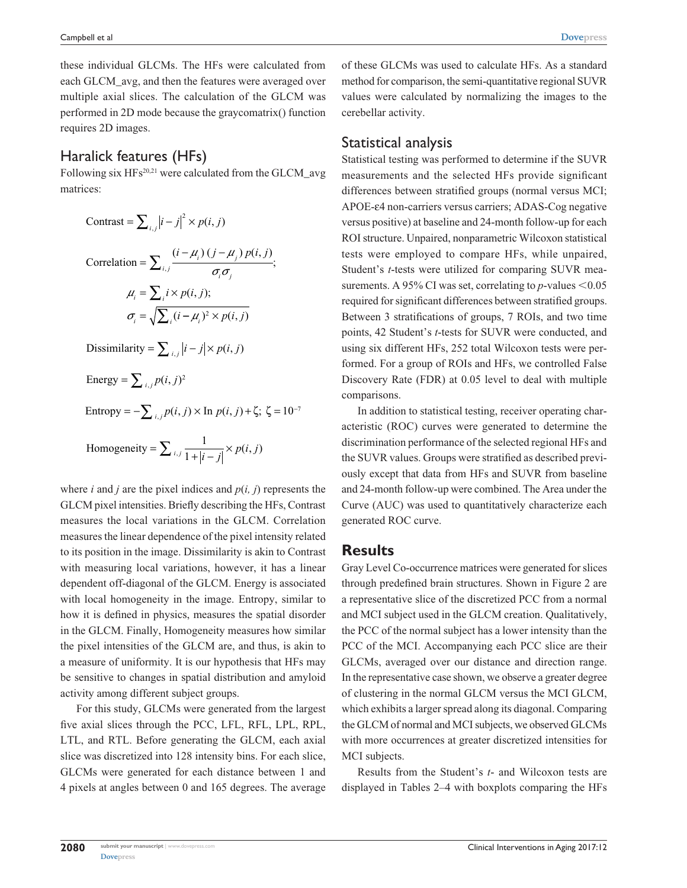**[Dovepress](www.dovepress.com)**

these individual GLCMs. The HFs were calculated from each GLCM\_avg, and then the features were averaged over multiple axial slices. The calculation of the GLCM was performed in 2D mode because the graycomatrix() function requires 2D images.

# Haralick features (HFs)

Following six  $HFs^{20,21}$  were calculated from the GLCM\_avg matrices:

Contrast = 
$$
\sum_{i,j} |i-j|^2 \times p(i, j)
$$
  
\nCorrelation =  $\sum_{i,j} \frac{(i - \mu_i)(j - \mu_j) p(i, j)}{\sigma_i \sigma_j}$ ;  
\n $\mu_i = \sum_i i \times p(i, j)$ ;  
\n $\sigma_i = \sqrt{\sum_i (i - \mu_i)^2 \times p(i, j)}$   
\nDissimilarity =  $\sum_{i,j} |i - j| \times p(i, j)$   
\nEnergy =  $\sum_{i,j} p(i, j)^2$   
\nEntropy =  $-\sum_{i,j} p(i, j) \times \ln p(i, j) + \zeta$ ;  $\zeta = 10^{-7}$   
\nHomogeneity =  $\sum_{i,j} \frac{1}{1 + |i - j|} \times p(i, j)$ 

where *i* and *j* are the pixel indices and  $p(i, j)$  represents the GLCM pixel intensities. Briefly describing the HFs, Contrast measures the local variations in the GLCM. Correlation measures the linear dependence of the pixel intensity related to its position in the image. Dissimilarity is akin to Contrast with measuring local variations, however, it has a linear dependent off-diagonal of the GLCM. Energy is associated with local homogeneity in the image. Entropy, similar to how it is defined in physics, measures the spatial disorder in the GLCM. Finally, Homogeneity measures how similar the pixel intensities of the GLCM are, and thus, is akin to a measure of uniformity. It is our hypothesis that HFs may be sensitive to changes in spatial distribution and amyloid activity among different subject groups.

For this study, GLCMs were generated from the largest five axial slices through the PCC, LFL, RFL, LPL, RPL, LTL, and RTL. Before generating the GLCM, each axial slice was discretized into 128 intensity bins. For each slice, GLCMs were generated for each distance between 1 and 4 pixels at angles between 0 and 165 degrees. The average of these GLCMs was used to calculate HFs. As a standard method for comparison, the semi-quantitative regional SUVR values were calculated by normalizing the images to the cerebellar activity.

### Statistical analysis

Statistical testing was performed to determine if the SUVR measurements and the selected HFs provide significant differences between stratified groups (normal versus MCI; APOE-ε4 non-carriers versus carriers; ADAS-Cog negative versus positive) at baseline and 24-month follow-up for each ROI structure. Unpaired, nonparametric Wilcoxon statistical tests were employed to compare HFs, while unpaired, Student's *t*-tests were utilized for comparing SUVR measurements. A 95% CI was set, correlating to  $p$ -values < $0.05$ required for significant differences between stratified groups. Between 3 stratifications of groups, 7 ROIs, and two time points, 42 Student's *t*-tests for SUVR were conducted, and using six different HFs, 252 total Wilcoxon tests were performed. For a group of ROIs and HFs, we controlled False Discovery Rate (FDR) at 0.05 level to deal with multiple comparisons.

In addition to statistical testing, receiver operating characteristic (ROC) curves were generated to determine the discrimination performance of the selected regional HFs and the SUVR values. Groups were stratified as described previously except that data from HFs and SUVR from baseline and 24-month follow-up were combined. The Area under the Curve (AUC) was used to quantitatively characterize each generated ROC curve.

## **Results**

Gray Level Co-occurrence matrices were generated for slices through predefined brain structures. Shown in Figure 2 are a representative slice of the discretized PCC from a normal and MCI subject used in the GLCM creation. Qualitatively, the PCC of the normal subject has a lower intensity than the PCC of the MCI. Accompanying each PCC slice are their GLCMs, averaged over our distance and direction range. In the representative case shown, we observe a greater degree of clustering in the normal GLCM versus the MCI GLCM, which exhibits a larger spread along its diagonal. Comparing the GLCM of normal and MCI subjects, we observed GLCMs with more occurrences at greater discretized intensities for MCI subjects.

Results from the Student's *t*- and Wilcoxon tests are displayed in Tables 2–4 with boxplots comparing the HFs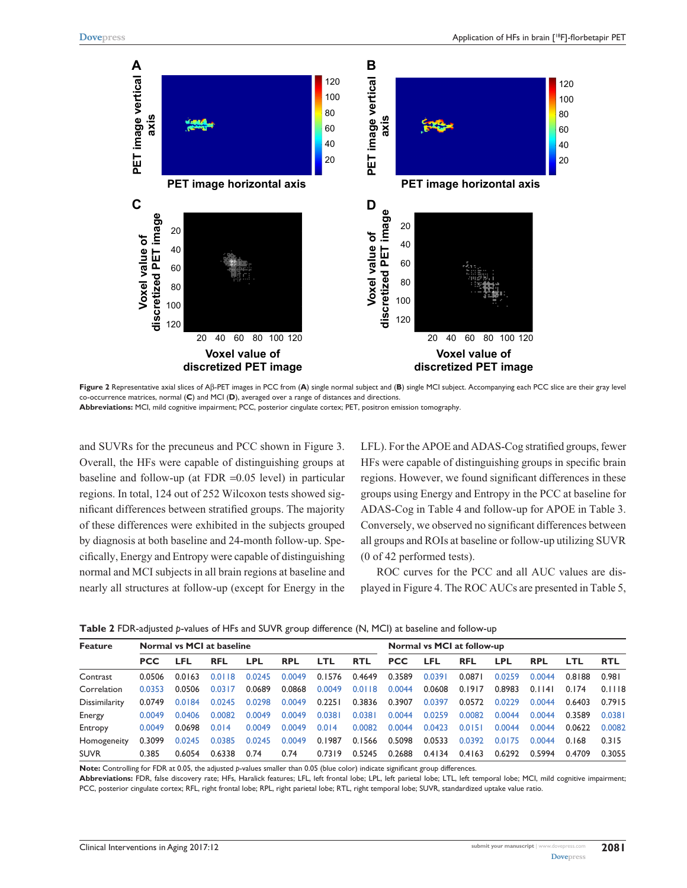

**Figure 2** Representative axial slices of Aβ-PET images in PCC from (**A**) single normal subject and (**B**) single MCI subject. Accompanying each PCC slice are their gray level co-occurrence matrices, normal (**C**) and MCI (**D**), averaged over a range of distances and directions. **Abbreviations:** MCI, mild cognitive impairment; PCC, posterior cingulate cortex; PET, positron emission tomography.

and SUVRs for the precuneus and PCC shown in Figure 3. Overall, the HFs were capable of distinguishing groups at baseline and follow-up (at FDR =0.05 level) in particular regions. In total, 124 out of 252 Wilcoxon tests showed significant differences between stratified groups. The majority of these differences were exhibited in the subjects grouped by diagnosis at both baseline and 24-month follow-up. Specifically, Energy and Entropy were capable of distinguishing normal and MCI subjects in all brain regions at baseline and nearly all structures at follow-up (except for Energy in the LFL). For the APOE and ADAS-Cog stratified groups, fewer HFs were capable of distinguishing groups in specific brain regions. However, we found significant differences in these groups using Energy and Entropy in the PCC at baseline for ADAS-Cog in Table 4 and follow-up for APOE in Table 3. Conversely, we observed no significant differences between all groups and ROIs at baseline or follow-up utilizing SUVR (0 of 42 performed tests).

ROC curves for the PCC and all AUC values are displayed in Figure 4. The ROC AUCs are presented in Table 5,

| Table 2 FDR-adjusted p-values of HFs and SUVR group difference (N, MCI) at baseline and follow-up |  |  |  |
|---------------------------------------------------------------------------------------------------|--|--|--|
|---------------------------------------------------------------------------------------------------|--|--|--|

| <b>Feature</b> |            |        | Normal vs MCI at baseline |            |            |        |            |            | Normal vs MCI at follow-up |            |            |            |        |            |
|----------------|------------|--------|---------------------------|------------|------------|--------|------------|------------|----------------------------|------------|------------|------------|--------|------------|
|                | <b>PCC</b> | LFL    | <b>RFL</b>                | <b>LPL</b> | <b>RPL</b> | LTL    | <b>RTL</b> | <b>PCC</b> | <b>LFL</b>                 | <b>RFL</b> | <b>LPL</b> | <b>RPL</b> | LTL    | <b>RTL</b> |
| Contrast       | 0.0506     | 0.0163 | 0.0118                    | 0.0245     | 0.0049     | 0.1576 | 0.4649     | 0.3589     | 0.0391                     | 0.0871     | 0.0259     | 0.0044     | 0.8188 | 0.981      |
| Correlation    | 0.0353     | 0.0506 | 0.0317                    | 0.0689     | 0.0868     | 0.0049 | 0.0118     | 0.0044     | 0.0608                     | 0.1917     | 0.8983     | 0.1141     | 0.174  | 0.1118     |
| Dissimilarity  | 0.0749     | 0.0184 | 0.0245                    | 0.0298     | 0.0049     | 0.2251 | 0.3836     | 0.3907     | 0.0397                     | 0.0572     | 0.0229     | 0.0044     | 0.6403 | 0.7915     |
| Energy         | 0.0049     | 0.0406 | 0.0082                    | 0.0049     | 0.0049     | 0.0381 | 0.0381     | 0.0044     | 0.0259                     | 0.0082     | 0.0044     | 0.0044     | 0.3589 | 0.0381     |
| Entropy        | 0.0049     | 0.0698 | 0.014                     | 0.0049     | 0.0049     | 0.014  | 0.0082     | 0.0044     | 0.0423                     | 0.0151     | 0.0044     | 0.0044     | 0.0622 | 0.0082     |
| Homogeneity    | 0.3099     | 0.0245 | 0.0385                    | 0.0245     | 0.0049     | 0.1987 | 0.1566     | 0.5098     | 0.0533                     | 0.0392     | 0.0175     | 0.0044     | 0.168  | 0.315      |
| <b>SUVR</b>    | 0.385      | 0.6054 | 0.6338                    | 0.74       | 0.74       | 0.7319 | 0.5245     | 0.2688     | 0.4134                     | 0.4163     | 0.6292     | 0.5994     | 0.4709 | 0.3055     |

**Note:** Controlling for FDR at 0.05, the adjusted *p*-values smaller than 0.05 (blue color) indicate significant group differences.

**Abbreviations:** FDR, false discovery rate; HFs, Haralick features; LFL, left frontal lobe; LPL, left parietal lobe; LTL, left temporal lobe; MCI, mild cognitive impairment; PCC, posterior cingulate cortex; RFL, right frontal lobe; RPL, right parietal lobe; RTL, right temporal lobe; SUVR, standardized uptake value ratio.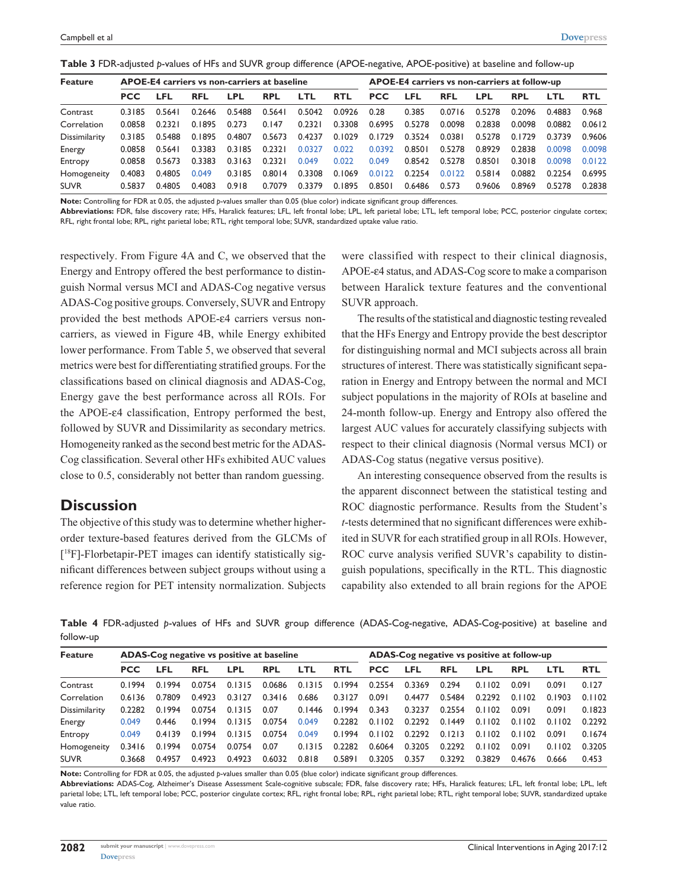**Table 3** FDR-adjusted *p*-values of HFs and SUVR group difference (APOE-negative, APOE-positive) at baseline and follow-up

| <b>Feature</b> |            |        |            | APOE-E4 carriers vs non-carriers at baseline |            |        |            |            | APOE-E4 carriers vs non-carriers at follow-up |            |            |            |        |            |
|----------------|------------|--------|------------|----------------------------------------------|------------|--------|------------|------------|-----------------------------------------------|------------|------------|------------|--------|------------|
|                | <b>PCC</b> | LFL    | <b>RFL</b> | <b>LPL</b>                                   | <b>RPL</b> | LTL    | <b>RTL</b> | <b>PCC</b> | <b>LFL</b>                                    | <b>RFL</b> | <b>LPL</b> | <b>RPL</b> | LTL    | <b>RTL</b> |
| Contrast       | 0.3185     | 0.5641 | 0.2646     | 0.5488                                       | 0.5641     | 0.5042 | 0.0926     | 0.28       | 0.385                                         | 0.0716     | 0.5278     | 0.2096     | 0.4883 | 0.968      |
| Correlation    | 0.0858     | 0.2321 | 0.1895     | 0.273                                        | 0.147      | 0.2321 | 0.3308     | 0.6995     | 0.5278                                        | 0.0098     | 0.2838     | 0.0098     | 0.0882 | 0.0612     |
| Dissimilarity  | 0.3185     | 0.5488 | 0.1895     | 0.4807                                       | 0.5673     | 0.4237 | 0.1029     | 0.1729     | 0.3524                                        | 0.0381     | 0.5278     | 0.1729     | 0.3739 | 0.9606     |
| Energy         | 0.0858     | 0.5641 | 0.3383     | 0.3185                                       | 0.2321     | 0.0327 | 0.022      | 0.0392     | 0.8501                                        | 0.5278     | 0.8929     | 0.2838     | 0.0098 | 0.0098     |
| Entropy        | 0.0858     | 0.5673 | 0.3383     | 0.3163                                       | 0.2321     | 0.049  | 0.022      | 0.049      | 0.8542                                        | 0.5278     | 0.8501     | 0.3018     | 0.0098 | 0.0122     |
| Homogeneity    | 0.4083     | 0.4805 | 0.049      | 0.3185                                       | 0.8014     | 0.3308 | 0.1069     | 0.0122     | 0.2254                                        | 0.0122     | 0.5814     | 0.0882     | 0.2254 | 0.6995     |
| <b>SUVR</b>    | 0.5837     | 0.4805 | 0.4083     | 0.918                                        | 0.7079     | 0.3379 | 0.1895     | 0.8501     | 0.6486                                        | 0.573      | 0.9606     | 0.8969     | 0.5278 | 0.2838     |

**Note:** Controlling for FDR at 0.05, the adjusted *p*-values smaller than 0.05 (blue color) indicate significant group differences.

**Abbreviations:** FDR, false discovery rate; HFs, Haralick features; LFL, left frontal lobe; LPL, left parietal lobe; LTL, left temporal lobe; PCC, posterior cingulate cortex; RFL, right frontal lobe; RPL, right parietal lobe; RTL, right temporal lobe; SUVR, standardized uptake value ratio.

respectively. From Figure 4A and C, we observed that the Energy and Entropy offered the best performance to distinguish Normal versus MCI and ADAS-Cog negative versus ADAS-Cog positive groups. Conversely, SUVR and Entropy provided the best methods APOE-ε4 carriers versus noncarriers, as viewed in Figure 4B, while Energy exhibited lower performance. From Table 5, we observed that several metrics were best for differentiating stratified groups. For the classifications based on clinical diagnosis and ADAS-Cog, Energy gave the best performance across all ROIs. For the APOE-ε4 classification, Entropy performed the best, followed by SUVR and Dissimilarity as secondary metrics. Homogeneity ranked as the second best metric for the ADAS-Cog classification. Several other HFs exhibited AUC values close to 0.5, considerably not better than random guessing.

#### **Discussion**

The objective of this study was to determine whether higherorder texture-based features derived from the GLCMs of [ 18F]-Florbetapir-PET images can identify statistically significant differences between subject groups without using a reference region for PET intensity normalization. Subjects were classified with respect to their clinical diagnosis, APOE-ε4 status, and ADAS-Cog score to make a comparison between Haralick texture features and the conventional SUVR approach.

The results of the statistical and diagnostic testing revealed that the HFs Energy and Entropy provide the best descriptor for distinguishing normal and MCI subjects across all brain structures of interest. There was statistically significant separation in Energy and Entropy between the normal and MCI subject populations in the majority of ROIs at baseline and 24-month follow-up. Energy and Entropy also offered the largest AUC values for accurately classifying subjects with respect to their clinical diagnosis (Normal versus MCI) or ADAS-Cog status (negative versus positive).

An interesting consequence observed from the results is the apparent disconnect between the statistical testing and ROC diagnostic performance. Results from the Student's *t*-tests determined that no significant differences were exhibited in SUVR for each stratified group in all ROIs. However, ROC curve analysis verified SUVR's capability to distinguish populations, specifically in the RTL. This diagnostic capability also extended to all brain regions for the APOE

**Table 4** FDR-adjusted *p*-values of HFs and SUVR group difference (ADAS-Cog-negative, ADAS-Cog-positive) at baseline and follow-up

| Feature       |            |        |            | ADAS-Cog negative vs positive at baseline |            |        |            |            | ADAS-Cog negative vs positive at follow-up |            |        |            |        |            |
|---------------|------------|--------|------------|-------------------------------------------|------------|--------|------------|------------|--------------------------------------------|------------|--------|------------|--------|------------|
|               | <b>PCC</b> | LFL    | <b>RFL</b> | <b>LPL</b>                                | <b>RPL</b> | LTL    | <b>RTL</b> | <b>PCC</b> | <b>LFL</b>                                 | <b>RFL</b> | LPL    | <b>RPL</b> | LTL    | <b>RTL</b> |
| Contrast      | 0.1994     | 0.1994 | 0.0754     | 0.1315                                    | 0.0686     | 0.1315 | 0.1994     | 0.2554     | 0.3369                                     | 0.294      | 0.1102 | 0.091      | 0.091  | 0.127      |
| Correlation   | 0.6136     | 0.7809 | 0.4923     | 0.3127                                    | 0.3416     | 0.686  | 0.3127     | 0.091      | 0.4477                                     | 0.5484     | 0.2292 | 0.1102     | 0.1903 | 0.1102     |
| Dissimilarity | 0.2282     | 0.1994 | 0.0754     | 0.1315                                    | 0.07       | 0.1446 | 0.1994     | 0.343      | 0.3237                                     | 0.2554     | 0.1102 | 0.091      | 0.091  | 0.1823     |
| Energy        | 0.049      | 0.446  | 0.1994     | 0.1315                                    | 0.0754     | 0.049  | 0.2282     | 0.1102     | 0.2292                                     | 0.1449     | 0.1102 | 0.1102     | 0.1102 | 0.2292     |
| Entropy       | 0.049      | 0.4139 | 0.1994     | 0.1315                                    | 0.0754     | 0.049  | 0.1994     | 0.1102     | 0.2292                                     | 0.1213     | 0.1102 | 0.1102     | 0.091  | 0.1674     |
| Homogeneity   | 0.3416     | 0.1994 | 0.0754     | 0.0754                                    | 0.07       | 0.1315 | 0.2282     | 0.6064     | 0.3205                                     | 0.2292     | 0.1102 | 0.091      | 0.1102 | 0.3205     |
| <b>SUVR</b>   | 0.3668     | 0.4957 | 0.4923     | 0.4923                                    | 0.6032     | 0.818  | 0.5891     | 0.3205     | 0.357                                      | 0.3292     | 0.3829 | 0.4676     | 0.666  | 0.453      |

**Note:** Controlling for FDR at 0.05, the adjusted *p*-values smaller than 0.05 (blue color) indicate significant group differences.

**Abbreviations:** ADAS-Cog, Alzheimer's Disease Assessment Scale-cognitive subscale; FDR, false discovery rate; HFs, Haralick features; LFL, left frontal lobe; LPL, left parietal lobe; LTL, left temporal lobe; PCC, posterior cingulate cortex; RFL, right frontal lobe; RPL, right parietal lobe; RTL, right temporal lobe; SUVR, standardized uptake value ratio.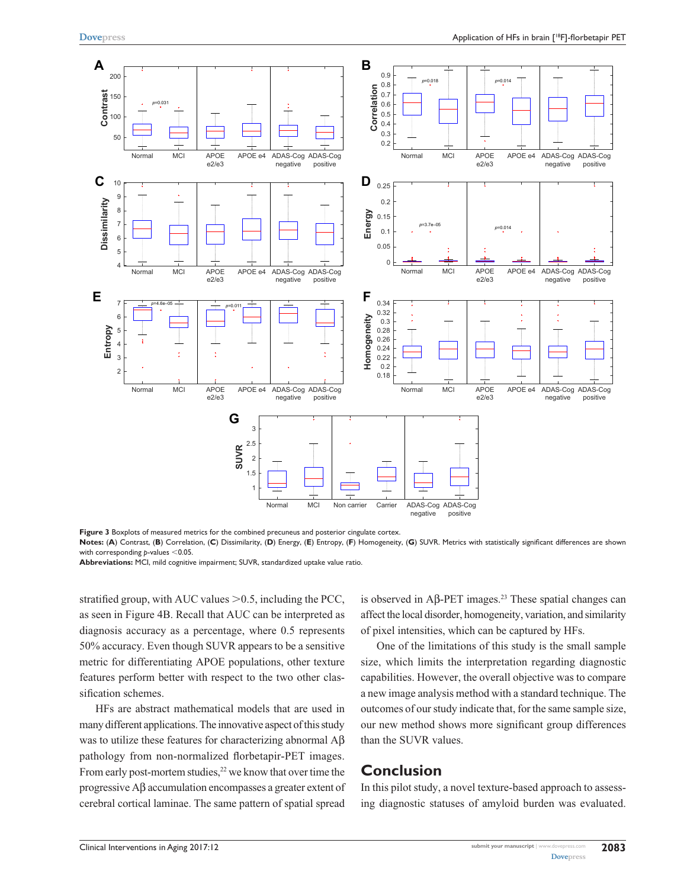

**Figure 3** Boxplots of measured metrics for the combined precuneus and posterior cingulate cortex.

Notes: (A) Contrast, (B) Correlation, (C) Dissimilarity, (D) Energy, (E) Entropy, (F) Homogeneity, (G) SUVR. Metrics with statistically significant differences are shown with corresponding p-values <0.05.

**Abbreviations:** MCI, mild cognitive impairment; SUVR, standardized uptake value ratio.

stratified group, with AUC values  $> 0.5$ , including the PCC, as seen in Figure 4B. Recall that AUC can be interpreted as diagnosis accuracy as a percentage, where 0.5 represents 50% accuracy. Even though SUVR appears to be a sensitive metric for differentiating APOE populations, other texture features perform better with respect to the two other classification schemes.

HFs are abstract mathematical models that are used in many different applications. The innovative aspect of this study was to utilize these features for characterizing abnormal Aβ pathology from non-normalized florbetapir-PET images. From early post-mortem studies,<sup>22</sup> we know that over time the progressive Aβ accumulation encompasses a greater extent of cerebral cortical laminae. The same pattern of spatial spread

is observed in  $\mathsf{A}\mathsf{B}\text{-}\mathsf{PET}$  images.<sup>23</sup> These spatial changes can affect the local disorder, homogeneity, variation, and similarity of pixel intensities, which can be captured by HFs.

One of the limitations of this study is the small sample size, which limits the interpretation regarding diagnostic capabilities. However, the overall objective was to compare a new image analysis method with a standard technique. The outcomes of our study indicate that, for the same sample size, our new method shows more significant group differences than the SUVR values.

#### **Conclusion**

In this pilot study, a novel texture-based approach to assessing diagnostic statuses of amyloid burden was evaluated.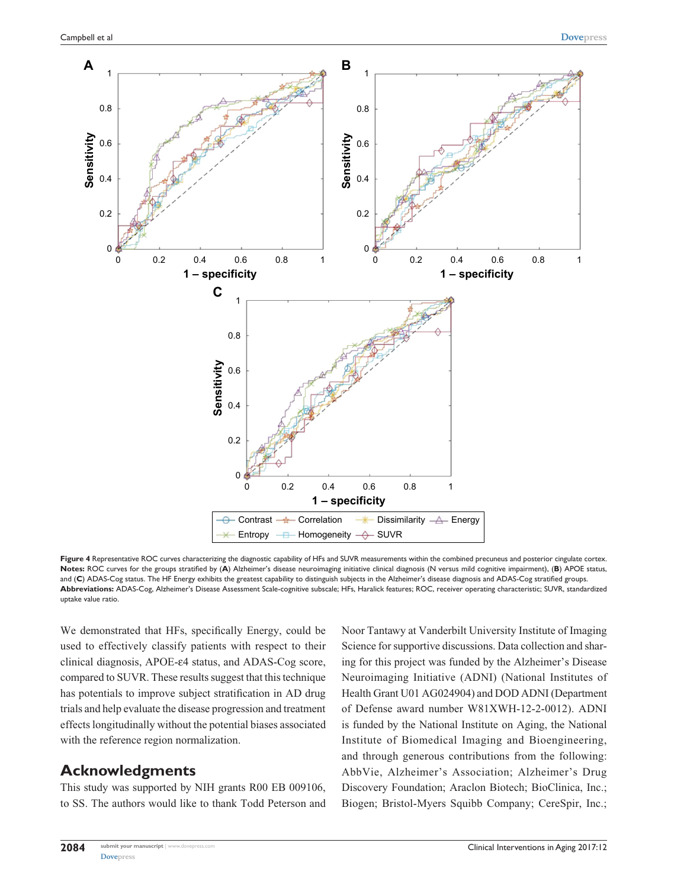

**Figure 4** Representative ROC curves characterizing the diagnostic capability of HFs and SUVR measurements within the combined precuneus and posterior cingulate cortex. **Notes:** ROC curves for the groups stratified by (**A**) Alzheimer's disease neuroimaging initiative clinical diagnosis (N versus mild cognitive impairment), (**B**) APOE status, and (**C**) ADAS-Cog status. The HF Energy exhibits the greatest capability to distinguish subjects in the Alzheimer's disease diagnosis and ADAS-Cog stratified groups. **Abbreviations:** ADAS-Cog, Alzheimer's Disease Assessment Scale-cognitive subscale; HFs, Haralick features; ROC, receiver operating characteristic; SUVR, standardized uptake value ratio.

We demonstrated that HFs, specifically Energy, could be used to effectively classify patients with respect to their clinical diagnosis, APOE-ε4 status, and ADAS-Cog score, compared to SUVR. These results suggest that this technique has potentials to improve subject stratification in AD drug trials and help evaluate the disease progression and treatment effects longitudinally without the potential biases associated with the reference region normalization.

# **Acknowledgments**

This study was supported by NIH grants R00 EB 009106, to SS. The authors would like to thank Todd Peterson and Noor Tantawy at Vanderbilt University Institute of Imaging Science for supportive discussions. Data collection and sharing for this project was funded by the Alzheimer's Disease Neuroimaging Initiative (ADNI) (National Institutes of Health Grant U01 AG024904) and DOD ADNI (Department of Defense award number W81XWH-12-2-0012). ADNI is funded by the National Institute on Aging, the National Institute of Biomedical Imaging and Bioengineering, and through generous contributions from the following: AbbVie, Alzheimer's Association; Alzheimer's Drug Discovery Foundation; Araclon Biotech; BioClinica, Inc.; Biogen; Bristol-Myers Squibb Company; CereSpir, Inc.;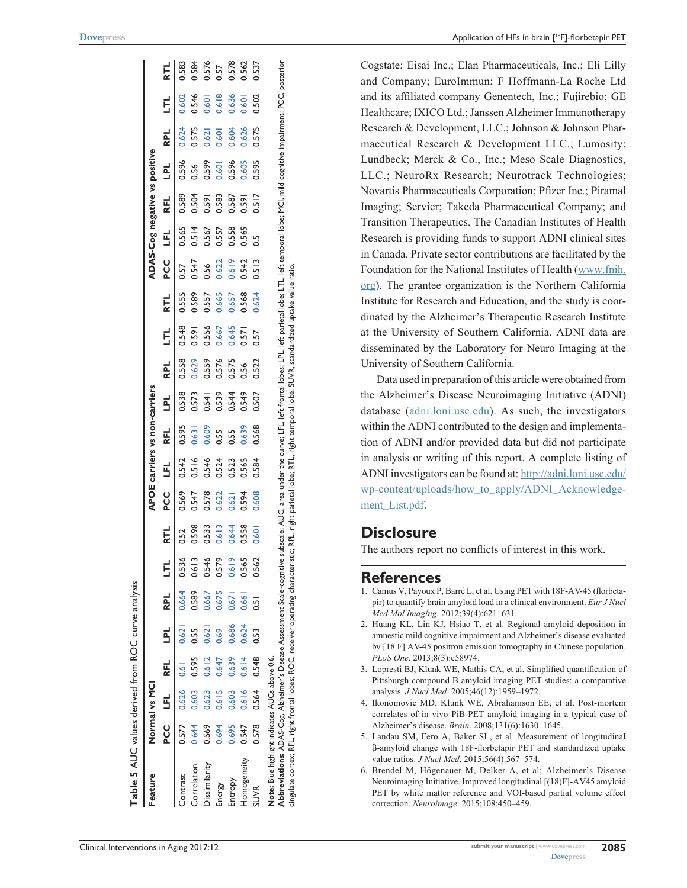| Feature                                                                 |       | Normal vs MCI |                  |       |                         |       |       |                |            | APOE carriers vs non-carriers |                                                                                                                                                                |            |       |       |       | ADAS-Cog negative vs positive |       |       |            |       |       |
|-------------------------------------------------------------------------|-------|---------------|------------------|-------|-------------------------|-------|-------|----------------|------------|-------------------------------|----------------------------------------------------------------------------------------------------------------------------------------------------------------|------------|-------|-------|-------|-------------------------------|-------|-------|------------|-------|-------|
|                                                                         |       |               |                  |       | PCC LFL RFL LPL RPL LTL |       |       | <b>U</b><br>PC | <b>UFL</b> | <b>RFL</b>                    | LPL                                                                                                                                                            | <b>RPL</b> | Ę     | RTL   | PCC   | Ľ.                            | 딡     | ธี    | <b>RPL</b> | Ę     |       |
| Contrast                                                                | 0.577 |               | 0.626 0.61 0.621 |       | 0.664 0.536             |       | 0.52  | 0.569          | 0.542      | 0.595                         | 0.538                                                                                                                                                          | 0.558      | 0.548 | 0.555 | 0.57  | 0.565                         | 0.589 | 0.596 | 0.624      | 0.602 | 0.583 |
| Correlation                                                             | 0.644 | 0.603         | 0.595            | 0.55  | 0.589                   | 0.613 | 0.598 | 0.547          | 0.516      | 0.631                         | 0.573                                                                                                                                                          | 0.629      | 0.591 | 0.589 | 0.547 | 0.514                         | 0.504 | 0.56  | 0.575      | 0.546 | 0.584 |
| Dissimilarity                                                           | 0.569 | 0.623         | 0.612            | 0.621 | 0.667                   | 0.546 | 0.533 | 0.578          | 0.546      | 0.609                         | 0.541                                                                                                                                                          | 0.559      | 0.556 | 0.557 | 0.56  |                               | 0.591 | 0.599 | .621       | 0.601 | 0.576 |
| Energy                                                                  | 0.694 | 0.615         | 0.647            | 0.69  | 0.675                   | 0.579 | 0.613 | 0.622          | 0.524      | <b>355</b>                    | 0.539                                                                                                                                                          | 0.576      | 0.667 | 0.665 | 0.622 | 0.557                         | 0.583 | 0.601 | 0.601      | 0.618 | 0.578 |
| Entropy                                                                 | 0.695 | 0.603         | 0.639            | 0.686 | 0.671                   | 0.619 | 0.644 | 0.621          | 0.523      | 0.55                          | 0.544                                                                                                                                                          | 0.575      | 0.645 | 0.657 | 0.619 | 0.558                         | 0.587 | 0.596 | 0.604      | 0.636 |       |
| Homogeneity                                                             | 0.547 | 0.616         | 0.614            | 0.624 | 0.661                   | 0.565 | 0.558 | 0.594          | 0.565      | 0.639                         | 0.549                                                                                                                                                          | 0.56       | 0.571 | 0.568 | 0.542 | 0.565                         | 0.591 | 0.605 | 0.626      | 0.601 | 0.562 |
| <b>SUVR</b>                                                             | 0.578 | 0.564         | 0.548            | 0.53  | 0.51                    | 0.562 | 0.601 | 0.608          | 0.584      | 0.568                         | 0.507                                                                                                                                                          | 0.522      | 0.57  | 0.624 | 0.513 | $\ddot{0}$                    | 0.517 | 0.595 | 0.575      | 0.502 | 0.537 |
| Note: Blue highlight indicates AUCs above 0.6.                          |       |               |                  |       |                         |       |       |                |            |                               |                                                                                                                                                                |            |       |       |       |                               |       |       |            |       |       |
| Abbreviations: ADAS-Cog, Alzheimer's Disease Assessment Scale-cognitive |       |               |                  |       |                         |       |       |                |            |                               | subscale; AUC, area under the curve; LFL, left frontal lobes; LPL, left parietal lobe; LTL, left temporal lobe; MCI, mild cognitive impairment; PCC, posterior |            |       |       |       |                               |       |       |            |       |       |

cingulate cortex; RFL, right frontal lobes; ROC, receiver operating characteristic; RPL, right parietal lobe; RTL, right temporal lobe; SUVR, standardized uptake value ratio

cingulate cortex; RFL, right frontal lobes; ROC, receiver operating characteristic; RPL, right parietal lobe; RTL, right temporal lobe; SUVR, standardized uptake value ratio.

Application of HFs in brain [<sup>18</sup>F]-florbetapir PET

Cogstate; Eisai Inc.; Elan Pharmaceuticals, Inc.; Eli Lilly and Company; EuroImmun; F Hoffmann-La Roche Ltd and its affiliated company Genentech, Inc.; Fujirebio; GE Healthcare; IXICO Ltd.; Janssen Alzheimer Immunotherapy Research & Development, LLC.; Johnson & Johnson Pharmaceutical Research & Development LLC.; Lumosity; Lundbeck; Merck & Co., Inc.; Meso Scale Diagnostics, LLC.; NeuroRx Research; Neurotrack Technologies; Novartis Pharmaceuticals Corporation; Pfizer Inc.; Piramal Imaging; Servier; Takeda Pharmaceutical Company; and Transition Therapeutics. The Canadian Institutes of Health Research is providing funds to support ADNI clinical sites in Canada. Private sector contributions are facilitated by the Foundation for the National Institutes of Health [\(www.fnih.](http://www.fnih.org) [org\)](http://www.fnih.org). The grantee organization is the Northern California Institute for Research and Education, and the study is coordinated by the Alzheimer's Therapeutic Research Institute at the University of Southern California. ADNI data are disseminated by the Laboratory for Neuro Imaging at the University of Southern California.

Data used in preparation of this article were obtained from the Alzheimer's Disease Neuroimaging Initiative (ADNI) database ([adni.loni.usc.edu\)](mailto:adni.loni.usc.edu). As such, the investigators within the ADNI contributed to the design and implementation of ADNI and/or provided data but did not participate in analysis or writing of this report. A complete listing of ADNI investigators can be found at: [http://adni.loni.usc.edu/](http://adni.loni.usc.edu/wp-content/uploads/how_to_apply/ADNI_Acknowledgement_List.pdf) [wp-content/uploads/how\\_to\\_apply/ADNI\\_Acknowledge](http://adni.loni.usc.edu/wp-content/uploads/how_to_apply/ADNI_Acknowledgement_List.pdf)[ment\\_List.pdf.](http://adni.loni.usc.edu/wp-content/uploads/how_to_apply/ADNI_Acknowledgement_List.pdf)

# **Disclosure**

The authors report no conflicts of interest in this work.

#### **References**

- 1. Camus V, Payoux P, Barré L, et al. Using PET with 18F-AV-45 (florbetapir) to quantify brain amyloid load in a clinical environment. *Eur J Nucl Med Mol Imaging*. 2012;39(4):621–631.
- 2. Huang KL, Lin KJ, Hsiao T, et al. Regional amyloid deposition in amnestic mild cognitive impairment and Alzheimer's disease evaluated by [18 F] AV-45 positron emission tomography in Chinese population. *PLoS One*. 2013;8(3):e58974.
- 3. Lopresti BJ, Klunk WE, Mathis CA, et al. Simplified quantification of Pittsburgh compound B amyloid imaging PET studies: a comparative analysis. *J Nucl Med*. 2005;46(12):1959–1972.
- 4. Ikonomovic MD, Klunk WE, Abrahamson EE, et al. Post-mortem correlates of in vivo PiB-PET amyloid imaging in a typical case of Alzheimer's disease. *Brain*. 2008;131(6):1630–1645.
- 5. Landau SM, Fero A, Baker SL, et al. Measurement of longitudinal β-amyloid change with 18F-florbetapir PET and standardized uptake value ratios. *J Nucl Med*. 2015;56(4):567–574.
- 6. Brendel M, Högenauer M, Delker A, et al; Alzheimer's Disease Neuroimaging Initiative. Improved longitudinal [(18)F]-AV45 amyloid PET by white matter reference and VOI-based partial volume effect correction. *Neuroimage*. 2015;108:450–459.

Table 5 AUC values derived from ROC curve analysis

AUC values derived from ROC curve analysis